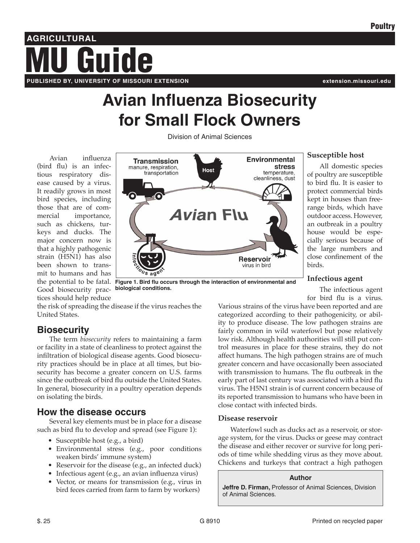# **AGRICULTURAL PUBLISHED BY, UNIVERSITY OF MISSOURI EXTENSION extension.missouri.edu** Guide

# **Avian Influenza Biosecurity for Small Flock Owners**

Division of Animal Sciences

Avian influenza (bird flu) is an infectious respiratory disease caused by a virus. It readily grows in most bird species, including those that are of commercial importance, such as chickens, turkeys and ducks. The major concern now is that a highly pathogenic strain (H5N1) has also been shown to transmit to humans and has Good biosecurity practices should help reduce



#### **Susceptible host**

All domestic species of poultry are susceptible to bird flu. It is easier to protect commercial birds kept in houses than freerange birds, which have outdoor access. However, an outbreak in a poultry house would be especially serious because of the large numbers and close confinement of the birds.

### **Infectious agent**

The infectious agent for bird flu is a virus.

Various strains of the virus have been reported and are categorized according to their pathogenicity, or ability to produce disease. The low pathogen strains are fairly common in wild waterfowl but pose relatively low risk. Although health authorities will still put control measures in place for these strains, they do not affect humans. The high pathogen strains are of much greater concern and have occasionally been associated with transmission to humans. The flu outbreak in the early part of last century was associated with a bird flu virus. The H5N1 strain is of current concern because of its reported transmission to humans who have been in close contact with infected birds.

### **Disease reservoir**

Waterfowl such as ducks act as a reservoir, or storage system, for the virus. Ducks or geese may contract the disease and either recover or survive for long periods of time while shedding virus as they move about. Chickens and turkeys that contract a high pathogen

#### **Author**

**Jeffre D. Firman,** Professor of Animal Sciences, Division of Animal Sciences.

the risk of spreading the disease if the virus reaches the United States.

**biological conditions.**

# **Biosecurity**

The term *biosecurity* refers to maintaining a farm or facility in a state of cleanliness to protect against the infiltration of biological disease agents. Good biosecurity practices should be in place at all times, but biosecurity has become a greater concern on U.S. farms since the outbreak of bird flu outside the United States. In general, biosecurity in a poultry operation depends on isolating the birds.

# **How the disease occurs**

Several key elements must be in place for a disease such as bird flu to develop and spread (see Figure 1):

- Susceptible host (e.g., a bird)
- Environmental stress (e.g., poor conditions weaken birds' immune system)
- Reservoir for the disease (e.g., an infected duck)
- Infectious agent (e.g., an avian influenza virus)
- Vector, or means for transmission (e.g., virus in bird feces carried from farm to farm by workers)